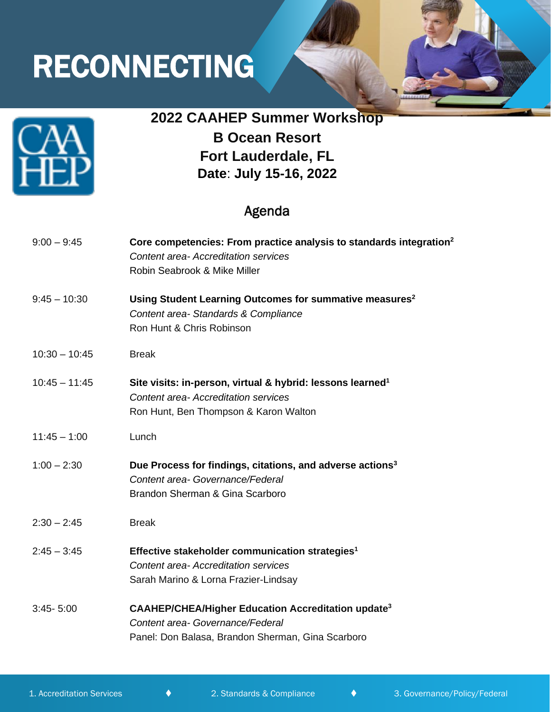# RECONNECTING



## **2022 CAAHEP Summer Workshop**

**B Ocean Resort Fort Lauderdale, FL Date**: **July 15-16, 2022**

### Agenda

| $9:00 - 9:45$   | Core competencies: From practice analysis to standards integration <sup>2</sup><br><b>Content area-Accreditation services</b><br>Robin Seabrook & Mike Miller |
|-----------------|---------------------------------------------------------------------------------------------------------------------------------------------------------------|
| $9:45 - 10:30$  | Using Student Learning Outcomes for summative measures <sup>2</sup><br>Content area-Standards & Compliance<br>Ron Hunt & Chris Robinson                       |
| $10:30 - 10:45$ | <b>Break</b>                                                                                                                                                  |
| $10:45 - 11:45$ | Site visits: in-person, virtual & hybrid: lessons learned <sup>1</sup><br><b>Content area-Accreditation services</b><br>Ron Hunt, Ben Thompson & Karon Walton |
| $11:45 - 1:00$  | Lunch                                                                                                                                                         |
| $1:00 - 2:30$   | Due Process for findings, citations, and adverse actions <sup>3</sup><br>Content area- Governance/Federal<br>Brandon Sherman & Gina Scarboro                  |
| $2:30 - 2:45$   | <b>Break</b>                                                                                                                                                  |
| $2:45 - 3:45$   | Effective stakeholder communication strategies <sup>1</sup><br><b>Content area-Accreditation services</b><br>Sarah Marino & Lorna Frazier-Lindsay             |
| $3:45 - 5:00$   | <b>CAAHEP/CHEA/Higher Education Accreditation update<sup>3</sup></b><br>Content area- Governance/Federal<br>Panel: Don Balasa, Brandon Sherman, Gina Scarboro |